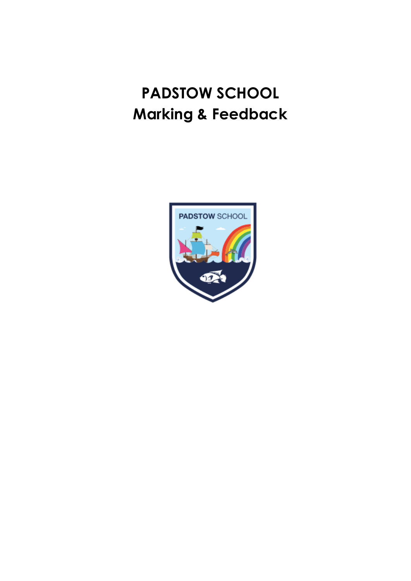# **PADSTOW SCHOOL Marking & Feedback**

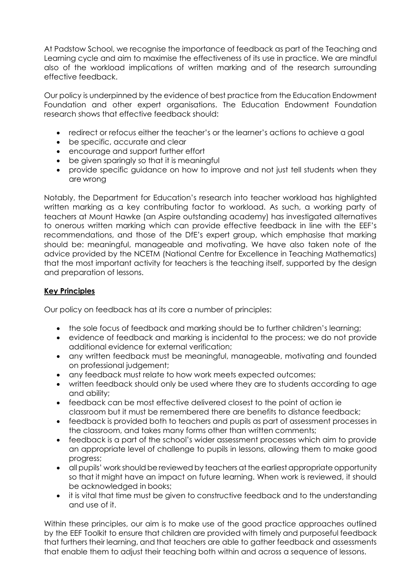At Padstow School, we recognise the importance of feedback as part of the Teaching and Learning cycle and aim to maximise the effectiveness of its use in practice. We are mindful also of the workload implications of written marking and of the research surrounding effective feedback.

Our policy is underpinned by the evidence of best practice from the Education Endowment Foundation and other expert organisations. The Education Endowment Foundation research shows that effective feedback should:

- redirect or refocus either the teacher's or the learner's actions to achieve a goal
- be specific, accurate and clear
- encourage and support further effort
- be given sparingly so that it is meaningful
- provide specific guidance on how to improve and not just tell students when they are wrong

Notably, the Department for Education's research into teacher workload has highlighted written marking as a key contributing factor to workload. As such, a working party of teachers at Mount Hawke (an Aspire outstanding academy) has investigated alternatives to onerous written marking which can provide effective feedback in line with the EEF's recommendations, and those of the DfE's expert group, which emphasise that marking should be: meaningful, manageable and motivating. We have also taken note of the [advice provided by the NCETM](https://www.ncetm.org.uk/news/48830) (National Centre for Excellence in Teaching Mathematics) that the most important activity for teachers is the teaching itself, supported by the design and preparation of lessons.

#### **Key Principles**

Our policy on feedback has at its core a number of principles:

- the sole focus of feedback and marking should be to further children's learning;
- evidence of feedback and marking is incidental to the process; we do not provide additional evidence for external verification;
- any written feedback must be meaningful, manageable, motivating and founded on professional judgement;
- any feedback must relate to how work meets expected outcomes;
- written feedback should only be used where they are to students according to age and ability;
- feedback can be most effective delivered closest to the point of action ie classroom but it must be remembered there are benefits to distance feedback;
- feedback is provided both to teachers and pupils as part of assessment processes in the classroom, and takes many forms other than written comments;
- feedback is a part of the school's wider assessment processes which aim to provide an appropriate level of challenge to pupils in lessons, allowing them to make good progress;
- all pupils' work should be reviewed by teachers at the earliest appropriate opportunity so that it might have an impact on future learning. When work is reviewed, it should be acknowledged in books;
- it is vital that time must be given to constructive feedback and to the understanding and use of it.

Within these principles, our aim is to make use of the good practice approaches outlined by the EEF Toolkit to ensure that children are provided with timely and purposeful feedback that furthers their learning, and that teachers are able to gather feedback and assessments that enable them to adjust their teaching both within and across a sequence of lessons.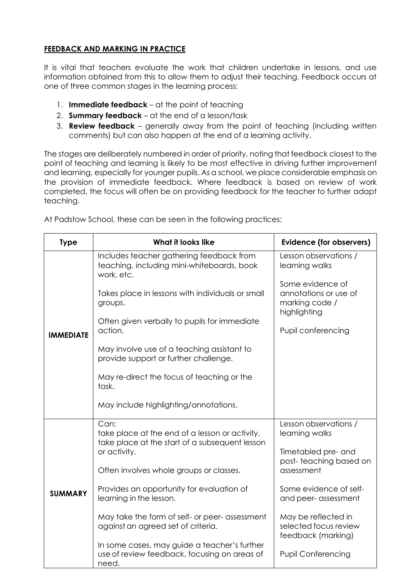## **FEEDBACK AND MARKING IN PRACTICE**

It is vital that teachers evaluate the work that children undertake in lessons, and use information obtained from this to allow them to adjust their teaching. Feedback occurs at one of three common stages in the learning process:

- 1. **Immediate feedback** at the point of teaching
- 2. **Summary feedback** at the end of a lesson/task
- 3. **Review feedback** generally away from the point of teaching (including written comments) but can also happen at the end of a learning activity.

The stages are deliberately numbered in order of priority, noting that feedback closest to the point of teaching and learning is likely to be most effective in driving further improvement and learning, especially for younger pupils. As a school, we place considerable emphasis on the provision of immediate feedback. Where feedback is based on review of work completed, the focus will often be on providing feedback for the teacher to further adapt teaching.

| <b>Type</b>      | What it looks like                                                                                    | <b>Evidence (for observers)</b>                                             |  |
|------------------|-------------------------------------------------------------------------------------------------------|-----------------------------------------------------------------------------|--|
| <b>IMMEDIATE</b> | Includes teacher gathering feedback from<br>teaching, including mini-whiteboards, book<br>work, etc.  | Lesson observations /<br>learning walks                                     |  |
|                  | Takes place in lessons with individuals or small<br>groups.                                           | Some evidence of<br>annotations or use of<br>marking code /<br>highlighting |  |
|                  | Often given verbally to pupils for immediate<br>action.                                               | Pupil conferencing                                                          |  |
|                  | May involve use of a teaching assistant to<br>provide support or further challenge.                   |                                                                             |  |
|                  | May re-direct the focus of teaching or the<br>task.                                                   |                                                                             |  |
|                  | May include highlighting/annotations.                                                                 |                                                                             |  |
| <b>SUMMARY</b>   | Can:<br>take place at the end of a lesson or activity,                                                | Lesson observations /<br>learning walks                                     |  |
|                  | take place at the start of a subsequent lesson<br>or activity.                                        | Timetabled pre- and<br>post-teaching based on                               |  |
|                  | Often involves whole groups or classes.                                                               | assessment                                                                  |  |
|                  | Provides an opportunity for evaluation of<br>learning in the lesson.                                  | Some evidence of self-<br>and peer- assessment                              |  |
|                  | May take the form of self- or peer- assessment<br>against an agreed set of criteria.                  | May be reflected in<br>selected focus review<br>feedback (marking)          |  |
|                  | In some cases, may guide a teacher's further<br>use of review feedback, focusing on areas of<br>need. | <b>Pupil Conferencing</b>                                                   |  |

At Padstow School, these can be seen in the following practices: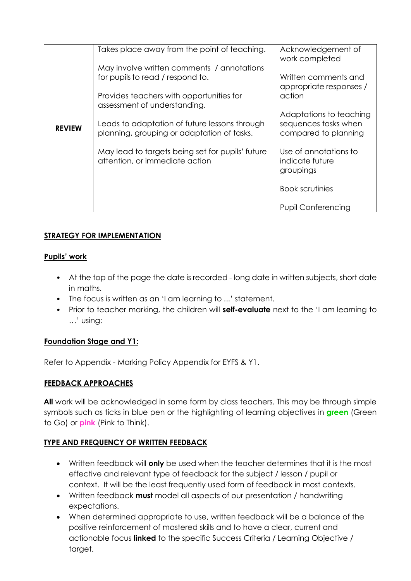|               | Takes place away from the point of teaching.                                                | Acknowledgement of<br>work completed                                    |
|---------------|---------------------------------------------------------------------------------------------|-------------------------------------------------------------------------|
|               | May involve written comments / annotations<br>for pupils to read / respond to.              | Written comments and<br>appropriate responses /<br>action               |
|               | Provides teachers with opportunities for<br>assessment of understanding.                    |                                                                         |
| <b>REVIEW</b> | Leads to adaptation of future lessons through<br>planning, grouping or adaptation of tasks. | Adaptations to teaching<br>sequences tasks when<br>compared to planning |
|               | May lead to targets being set for pupils' future<br>attention, or immediate action          | Use of annotations to<br>indicate future<br>groupings                   |
|               |                                                                                             | <b>Book scrutinies</b>                                                  |
|               |                                                                                             | <b>Pupil Conferencing</b>                                               |

# **STRATEGY FOR IMPLEMENTATION**

## **Pupils' work**

- At the top of the page the date is recorded long date in written subjects, short date in maths.
- The focus is written as an 'I am learning to ...' statement.
- Prior to teacher marking, the children will **self-evaluate** next to the 'I am learning to …' using:

# **Foundation Stage and Y1:**

Refer to Appendix - Marking Policy Appendix for EYFS & Y1.

# **FEEDBACK APPROACHES**

**All** work will be acknowledged in some form by class teachers. This may be through simple symbols such as ticks in blue pen or the highlighting of learning objectives in **green** (Green to Go) or **pink** (Pink to Think).

# **TYPE AND FREQUENCY OF WRITTEN FEEDBACK**

- Written feedback will **only** be used when the teacher determines that it is the most effective and relevant type of feedback for the subject / lesson / pupil or context. It will be the least frequently used form of feedback in most contexts.
- Written feedback **must** model all aspects of our presentation / handwriting expectations.
- When determined appropriate to use, written feedback will be a balance of the positive reinforcement of mastered skills and to have a clear, current and actionable focus **linked** to the specific Success Criteria / Learning Objective / target.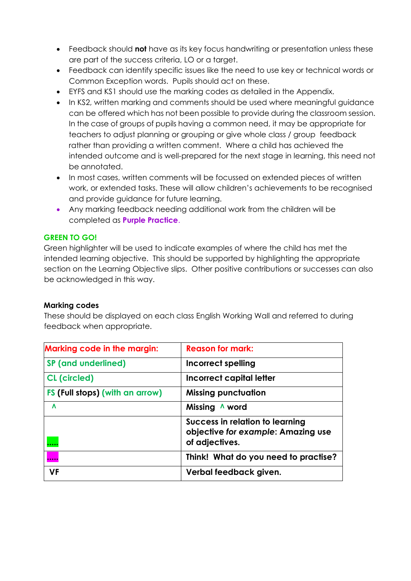- Feedback should **not** have as its key focus handwriting or presentation unless these are part of the success criteria, LO or a target.
- Feedback can identify specific issues like the need to use key or technical words or Common Exception words. Pupils should act on these.
- EYFS and KS1 should use the marking codes as detailed in the Appendix.
- In KS2, written marking and comments should be used where meaningful guidance can be offered which has not been possible to provide during the classroom session. In the case of groups of pupils having a common need, it may be appropriate for teachers to adjust planning or grouping or give whole class / group feedback rather than providing a written comment. Where a child has achieved the intended outcome and is well-prepared for the next stage in learning, this need not be annotated.
- In most cases, written comments will be focussed on extended pieces of written work, or extended tasks. These will allow children's achievements to be recognised and provide guidance for future learning.
- Any marking feedback needing additional work from the children will be completed as **Purple Practice**.

#### **GREEN TO GO!**

Green highlighter will be used to indicate examples of where the child has met the intended learning objective. This should be supported by highlighting the appropriate section on the Learning Objective slips. Other positive contributions or successes can also be acknowledged in this way.

#### **Marking codes**

These should be displayed on each class English Working Wall and referred to during feedback when appropriate.

| <b>Marking code in the margin:</b> | <b>Reason for mark:</b>                                                                 |
|------------------------------------|-----------------------------------------------------------------------------------------|
| <b>SP</b> (and underlined)         | <b>Incorrect spelling</b>                                                               |
| <b>CL</b> (circled)                | Incorrect capital letter                                                                |
| FS (Full stops) (with an arrow)    | <b>Missing punctuation</b>                                                              |
| Λ                                  | Missing<br>A word                                                                       |
|                                    | Success in relation to learning<br>objective for example: Amazing use<br>of adjectives. |
|                                    | Think! What do you need to practise?                                                    |
| <b>VF</b>                          | Verbal feedback given.                                                                  |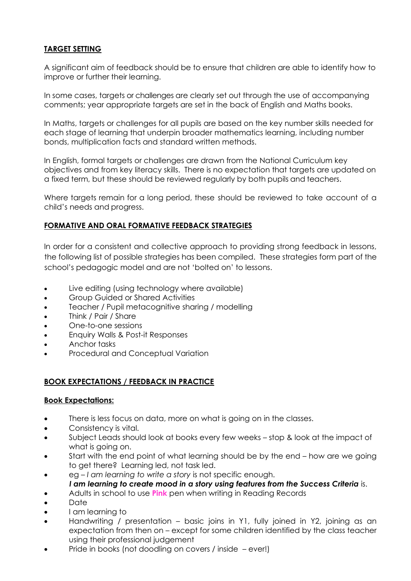## **TARGET SETTING**

A significant aim of feedback should be to ensure that children are able to identify how to improve or further their learning.

In some cases, targets or challenges are clearly set out through the use of accompanying comments; year appropriate targets are set in the back of English and Maths books.

In Maths, targets or challenges for all pupils are based on the key number skills needed for each stage of learning that underpin broader mathematics learning, including number bonds, multiplication facts and standard written methods.

In English, formal targets or challenges are drawn from the National Curriculum key objectives and from key literacy skills. There is no expectation that targets are updated on a fixed term, but these should be reviewed regularly by both pupils and teachers.

Where targets remain for a long period, these should be reviewed to take account of a child's needs and progress.

#### **FORMATIVE AND ORAL FORMATIVE FEEDBACK STRATEGIES**

In order for a consistent and collective approach to providing strong feedback in lessons, the following list of possible strategies has been compiled. These strategies form part of the school's pedagogic model and are not 'bolted on' to lessons.

- Live editing (using technology where available)
- Group Guided or Shared Activities
- Teacher / Pupil metacognitive sharing / modelling
- Think / Pair / Share
- One-to-one sessions
- Enquiry Walls & Post-it Responses
- Anchor tasks
- Procedural and Conceptual Variation

#### **BOOK EXPECTATIONS / FEEDBACK IN PRACTICE**

#### **Book Expectations:**

- There is less focus on data, more on what is going on in the classes.
- Consistency is vital.
- Subject Leads should look at books every few weeks stop & look at the impact of what is going on.
- Start with the end point of what learning should be by the end how are we going to get there? Learning led, not task led.
- eg *I am learning to write a story* is not specific enough.
- *I am learning to create mood in a story using features from the Success Criteria* is.
- Adults in school to use **Pink** pen when writing in Reading Records
- Date
- I am learning to
- Handwriting / presentation basic joins in Y1, fully joined in Y2, joining as an expectation from then on – except for some children identified by the class teacher using their professional judgement
- Pride in books (not doodling on covers / inside ever!)